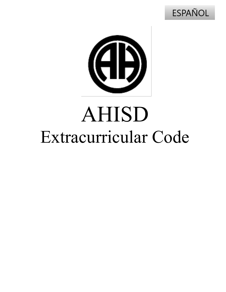



# AHISD Extracurricular Code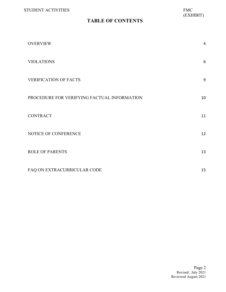#### **TABLE OF CONTENTS**

| <b>OVERVIEW</b>                             | $\overline{4}$ |
|---------------------------------------------|----------------|
| <b>VIOLATIONS</b>                           | 6              |
| <b>VERIFICATION OF FACTS</b>                | 9              |
| PROCEDURE FOR VERIFYING FACTUAL INFORMATION | 10             |
| <b>CONTRACT</b>                             | 11             |
| NOTICE OF CONFERENCE                        | 12             |
| <b>ROLE OF PARENTS</b>                      | 13             |
| FAQ ON EXTRACURRICULAR CODE                 | 15             |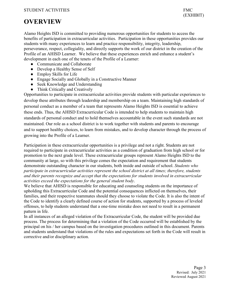# <span id="page-2-0"></span>**OVERVIEW**

Alamo Heights ISD is committed to providing numerous opportunities for students to access the benefits of participation in extracurricular activities. Participation in these opportunities provides our students with many experiences to learn and practice responsibility, integrity, leadership, perseverance, respect, collegiality, and directly supports the work of our district in the creation of the Profile of an AHISD Learner. We believe that these experiences enrich and enhance a student's development in each one of the tenets of the Profile of a Learner:

- Communicate and Collaborate
- Develop a Healthy Sense of Self
- Employ Skills for Life
- Engage Socially and Globally in a Constructive Manner
- Seek Knowledge and Understanding
- Think Critically and Creatively

Opportunities to participate in extracurricular activities provide students with particular experiences to develop these attributes through leadership and membership on a team. Maintaining high standards of personal conduct as a member of a team that represents Alamo Heights ISD is essential to achieve these ends. Thus, the AHISD Extracurricular Code is intended to help students to maintain high standards of personal conduct and to hold themselves accountable in the event such standards are not maintained. Our role as a school district is to work together with students and parents to encourage and to support healthy choices, to learn from mistakes, and to develop character through the process of growing into the Profile of a Learner.

Participation in these extracurricular opportunities is a privilege and not a right. Students are not required to participate in extracurricular activities as a condition of graduation from high school or for promotion to the next grade level. These extracurricular groups represent Alamo Heights ISD to the community at large, so with this privilege comes the expectation and requirement that students demonstrate outstanding character in our students, both inside and outside of school. *Students who participate in extracurricular activities represent the school district at all times; therefore, students and their parents recognize and accept that the expectations for students involved in extracurricular activities exceed the expectations for the general student body*.

We believe that AHISD is responsible for educating and counseling students on the importance of upholding this Extracurricular Code and the potential consequences inflicted on themselves, their families, and their respective teammates should they choose to violate the Code. It is also the intent of the Code to identify a clearly defined course of action for students, supported by a process of leveled offenses, to help students understand that a one-time mistake does not need to result in a permanent pattern in life.

In all instances of an alleged violation of the Extracurricular Code, the student will be provided due process. The process for determining that a violation of the Code occurred will be established by the principal on his / her campus based on the investigation procedures outlined in this document. Parents and students understand that violations of the rules and expectations set forth in the Code will result in corrective and/or disciplinary action.

> Page 3 Revised: July 2021 Reviewed August 2021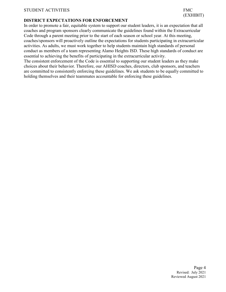#### **DISTRICT EXPECTATIONS FOR ENFORCEMENT**

In order to promote a fair, equitable system to support our student leaders, it is an expectation that all coaches and program sponsors clearly communicate the guidelines found within the Extracurricular Code through a parent meeting prior to the start of each season or school year. At this meeting, coaches/sponsors will proactively outline the expectations for students participating in extracurricular activities. As adults, we must work together to help students maintain high standards of personal conduct as members of a team representing Alamo Heights ISD. These high standards of conduct are essential to achieving the benefits of participating in the extracurricular activity.

The consistent enforcement of the Code is essential to supporting our student leaders as they make choices about their behavior. Therefore, our AHISD coaches, directors, club sponsors, and teachers are committed to consistently enforcing these guidelines. We ask students to be equally committed to holding themselves and their teammates accountable for enforcing these guidelines.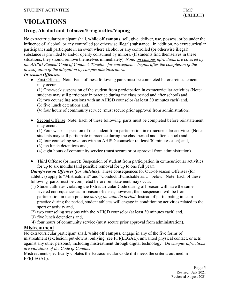# <span id="page-4-0"></span>**VIOLATIONS**

#### **Drug, Alcohol and Tobacco/E-cigarettes/Vaping**

No extracurricular participant shall, **while off campus**, sell, give, deliver, use, possess, or be under the influence of alcohol, or any controlled (or otherwise illegal) substance. In addition, no extracurricular participant shall participate in an event where alcohol or any controlled (or otherwise illegal) substance is provided to and/or openly consumed by minors. (If students find themselves in these situations, they should remove themselves immediately). *Note: on campus infractions are covered by the AHISD Student Code of Conduct. Timeline for consequence begins after the completion of the investigation of the allegation by campus administrators.* 

#### *In-season Offenses:*

● First Offense: Note: Each of these following parts must be completed before reinstatement may occur.

(1) One-week suspension of the student from participation in extracurricular activities (Note: students may still participate in practice during the class period and after school) and,

- (2) two counseling sessions with an AHISD counselor (at least 30 minutes each) and,
- (3) five lunch detentions and,
- (4) four hours of community service (must secure prior approval from administration).
- Second Offense: Note: Each of these following parts must be completed before reinstatement may occur.

(1) Four-week suspension of the student from participation in extracurricular activities (Note: students may still participate in practice during the class period and after school) and,

- (2) four counseling sessions with an AHISD counselor (at least 30 minutes each) and,
- (3) ten lunch detentions and,

(4) eight hours of community service (must secure prior approval from administration).

• Third Offense (or more): Suspension of student from participation in extracurricular activities for up to six months (and possible removal for up to one full year).

*Out-of-season Offenses (for athletics):* These consequences for Out-of-season Offenses (for athletics) apply to "Mistreatment" and "Conduct...Punishable as…" below. Note: Each of these following parts must be completed before reinstatement may occur.

- (1) Student athletes violating the Extracurricular Code during off-season will have the same leveled consequences as In-season offenses; however, their suspension will be from participation in team practice *during the athletic period*. Instead of participating in team practice during the period, student athletes will engage in conditioning activities related to the sport or activity and,
- (2) two counseling sessions with the AHISD counselor (at least 30 minutes each) and,
- (3) five lunch detentions and,
- (4) four hours of community service (must secure prior approval from administration).

#### **Mistreatment**

No extracurricular participant shall, **while off campus**, engage in any of the five forms of mistreatment (exclusion, put-downs, bullying (see FFI(LEGAL), unwanted physical contact, or acts against any other persons), including mistreatment through digital technology. *On campus infractions are violations of the Code of Conduct*.

Mistreatment specifically violates the Extracurricular Code if it meets the criteria outlined in FFI(LEGAL).

(EXHIBIT)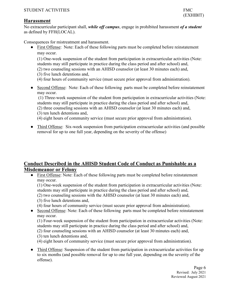#### **Harassment**

No extracurricular participant shall, *while off campus*, engage in prohibited harassment *of a student* as defined by FFH(LOCAL).

Consequences for mistreatment and harassment.

• First Offense: Note: Each of these following parts must be completed before reinstatement may occur.

(1) One-week suspension of the student from participation in extracurricular activities (Note: students may still participate in practice during the class period and after school) and,

- (2) two counseling sessions with an AHISD counselor (at least 30 minutes each) and,
- (3) five lunch detentions and,
- (4) four hours of community service (must secure prior approval from administration).
- Second Offense: Note: Each of these following parts must be completed before reinstatement may occur.

(1) Three-week suspension of the student from participation in extracurricular activities (Note: students may still participate in practice during the class period and after school) and,

- (2) three counseling sessions with an AHISD counselor (at least 30 minutes each) and,
- (3) ten lunch detentions and,

(4) eight hours of community service (must secure prior approval from administration).

• Third Offense: Six-week suspension from participation extracurricular activities (and possible removal for up to one full year, depending on the severity of the offense)

#### **Conduct Described in the AHISD Student Code of Conduct as Punishable as a Misdemeanor or Felony**

● First Offense: Note: Each of these following parts must be completed before reinstatement may occur.

(1) One-week suspension of the student from participation in extracurricular activities (Note: students may still participate in practice during the class period and after school) and,

(2) two counseling sessions with the AHISD counselor (at least 30 minutes each) and,

- (3) five lunch detentions and,
- (4) four hours of community service (must secure prior approval from administration).
- Second Offense: Note: Each of these following parts must be completed before reinstatement may occur.

(1) Four-week suspension of the student from participation in extracurricular activities (Note: students may still participate in practice during the class period and after school) and,

- (2) four counseling sessions with an AHISD counselor (at least 30 minutes each) and,
- (3) ten lunch detentions and,

(4) eight hours of community service (must secure prior approval from administration).

• Third Offense: Suspension of the student from participation in extracurricular activities for up to six months (and possible removal for up to one full year, depending on the severity of the offense).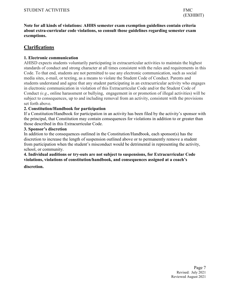**Note for all kinds of violations: AHHS semester exam exemption guidelines contain criteria about extra-curricular code violations, so consult those guidelines regarding semester exam exemptions.**

#### **Clarifications**

#### **1. Electronic communication**

AHISD expects students voluntarily participating in extracurricular activities to maintain the highest standards of conduct and strong character at all times consistent with the rules and requirements in this Code. To that end, students are not permitted to use any electronic communication, such as social media sites, e-mail, or texting, as a means to violate the Student Code of Conduct. Parents and students understand and agree that any student participating in an extracurricular activity who engages in electronic communication in violation of this Extracurricular Code and/or the Student Code of Conduct *(e.g*., online harassment or bullying, engagement in or promotion of illegal activities) will be subject to consequences, up to and including removal from an activity, consistent with the provisions set forth above.

#### **2. Constitution/Handbook for participation**

If a Constitution/Handbook for participation in an activity has been filed by the activity's sponsor with the principal, that Constitution may contain consequences for violations in addition to or greater than those described in this Extracurricular Code.

#### **3. Sponsor's discretion**

In addition to the consequences outlined in the Constitution/Handbook, each sponsor(s) has the discretion to increase the length of suspension outlined above or to permanently remove a student from participation when the student's misconduct would be detrimental in representing the activity, school, or community.

**4. Individual auditions or try-outs are not subject to suspensions, for Extracurricular Code violations, violations of constitution/handbook, and consequences assigned at a coach's** 

#### **discretion.**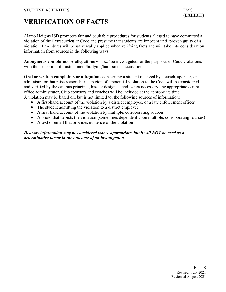# <span id="page-7-0"></span>**VERIFICATION OF FACTS**

Alamo Heights ISD promotes fair and equitable procedures for students alleged to have committed a violation of the Extracurricular Code and presume that students are innocent until proven guilty of a violation. Procedures will be universally applied when verifying facts and will take into consideration information from sources in the following ways:

**Anonymous complaints or allegations** will *not* be investigated for the purposes of Code violations, with the exception of mistreatment/bullying/harassment accusations.

**Oral or written complaints or allegations** concerning a student received by a coach, sponsor, or administrator that raise reasonable suspicion of a potential violation to the Code will be considered and verified by the campus principal, his/her designee, and, when necessary, the appropriate central office administrator. Club sponsors and coaches will be included at the appropriate time. A violation may be based on, but is not limited to, the following sources of information:

- A first-hand account of the violation by a district employee, or a law enforcement officer
- The student admitting the violation to a district employee
- A first-hand account of the violation by multiple, corroborating sources
- A photo that depicts the violation (sometimes dependent upon multiple, corroborating sources)
- A text or email that provides evidence of the violation

*Hearsay information may be considered where appropriate, but it will NOT be used as a determinative factor in the outcome of an investigation.*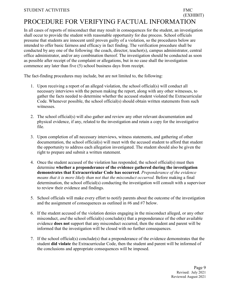#### <span id="page-8-0"></span>(EXHIBIT) PROCEDURE FOR VERIFYING FACTUAL INFORMATION

In all cases of reports of misconduct that may result in consequences for the student, an investigation shall occur to provide the student with reasonable opportunity for due process. School officials presume that students are innocent until proven guilty of a violation, so the procedures below are intended to offer basic fairness and efficacy in fact finding. The verification procedure shall be conducted by any one of the following: the coach, director, teacher(s), campus administrator, central office administrator, and/or any combination thereof. The investigation should be conducted as soon as possible after receipt of the complaint or allegations, but in no case shall the investigation commence any later than five (5) school business days from receipt.

The fact-finding procedures may include, but are not limited to, the following:

- 1. Upon receiving a report of an alleged violation, the school official(s) will conduct all necessary interviews with the person making the report, along with any other witnesses, to gather the facts needed to determine whether the accused student violated the Extracurricular Code. Whenever possible, the school official(s) should obtain written statements from such witnesses.
- 2. The school official(s) will also gather and review any other relevant documentation and physical evidence, if any, related to the investigation and retain a copy for the investigative file.
- 3. Upon completion of all necessary interviews, witness statements, and gathering of other documentation, the school official(s) will meet with the accused student to afford that student the opportunity to address each allegation investigated. The student should also be given the right to prepare and submit a written statement.
- 4. Once the student accused of the violation has responded, the school official(s) must then determine **whether a preponderance of the evidence gathered during the investigation demonstrates that Extracurricular Code has occurred**. *Preponderance of the evidence means that it is more likely than not that the misconduct occurred.* Before making a final determination, the school official(s) conducting the investigation will consult with a supervisor to review their evidence and findings.
- 5. School officials will make every effort to notify parents about the outcome of the investigation and the assignment of consequences as outlined in #6 and #7 below.
- 6. If the student accused of the violation denies engaging in the misconduct alleged, or any other misconduct, *and* the school official(s) conclude(s) that a preponderance of the other available evidence **does not** support that any misconduct occurred, then the student and parent will be informed that the investigation will be closed with no further consequences.
- 7. If the school official(s) conclude(s) that a preponderance of the evidence demonstrates that the student **did violate** the Extracurricular Code, then the student and parent will be informed of the conclusions and appropriate consequences will be imposed.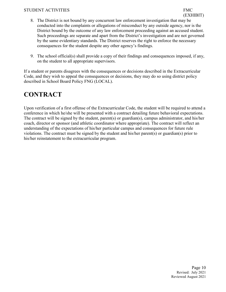#### STUDENT ACTIVITIES FMC

- 8. The District is not bound by any concurrent law enforcement investigation that may be conducted into the complaints or allegations of misconduct by any outside agency, nor is the District bound by the outcome of any law enforcement proceeding against an accused student. Such proceedings are separate and apart from the District's investigation and are not governed by the same evidentiary standards. The District reserves the right to enforce the necessary consequences for the student despite any other agency's findings.
- 9. The school official(s) shall provide a copy of their findings and consequences imposed, if any, on the student to all appropriate supervisors.

If a student or parents disagrees with the consequences or decisions described in the Extracurricular Code, and they wish to appeal the consequences or decisions, they may do so using district policy described in School Board Policy FNG (LOCAL).

# <span id="page-9-0"></span>**CONTRACT**

Upon verification of a first offense of the Extracurricular Code, the student will be required to attend a conference in which he/she will be presented with a contract detailing future behavioral expectations. The contract will be signed by the student, parent(s) or guardian(s), campus administrator, and his/her coach, director or sponsor (and athletic coordinator where appropriate). The contract will reflect an understanding of the expectations of his/her particular campus and consequences for future rule violations. The contract must be signed by the student and his/her parent(s) or guardian(s) prior to his/her reinstatement to the extracurricular program.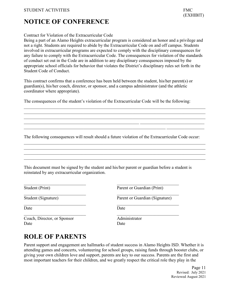# <span id="page-10-0"></span>**NOTICE OF CONFERENCE**

#### Contract for Violation of the Extracurricular Code

Being a part of an Alamo Heights extracurricular program is considered an honor and a privilege and not a right. Students are required to abide by the Extracurricular Code on and off campus. Students involved in extracurricular programs are expected to comply with the disciplinary consequences for any failure to comply with the Extracurricular Code. The consequences for violation of the standards of conduct set out in the Code are in addition to any disciplinary consequences imposed by the appropriate school officials for behavior that violates the District's disciplinary rules set forth in the Student Code of Conduct.

This contract confirms that a conference has been held between the student, his/her parent(s) or guardian(s), his/her coach, director, or sponsor, and a campus administrator (and the athletic coordinator where appropriate).

The consequences of the student's violation of the Extracurricular Code will be the following:

\_\_\_\_\_\_\_\_\_\_\_\_\_\_\_\_\_\_\_\_\_\_\_\_\_\_\_\_\_\_\_\_\_\_\_\_\_\_\_\_\_\_\_\_\_\_\_\_\_\_\_\_\_\_\_\_\_\_\_\_\_\_\_\_\_\_\_\_\_\_\_\_\_\_\_\_\_\_\_\_\_\_ \_\_\_\_\_\_\_\_\_\_\_\_\_\_\_\_\_\_\_\_\_\_\_\_\_\_\_\_\_\_\_\_\_\_\_\_\_\_\_\_\_\_\_\_\_\_\_\_\_\_\_\_\_\_\_\_\_\_\_\_\_\_\_\_\_\_\_\_\_\_\_\_\_\_\_\_\_\_\_\_\_\_ \_\_\_\_\_\_\_\_\_\_\_\_\_\_\_\_\_\_\_\_\_\_\_\_\_\_\_\_\_\_\_\_\_\_\_\_\_\_\_\_\_\_\_\_\_\_\_\_\_\_\_\_\_\_\_\_\_\_\_\_\_\_\_\_\_\_\_\_\_\_\_\_\_\_\_\_\_\_\_\_\_\_  $\_$  , and the set of the set of the set of the set of the set of the set of the set of the set of the set of the set of the set of the set of the set of the set of the set of the set of the set of the set of the set of th

The following consequences will result should a future violation of the Extracurricular Code occur:

\_\_\_\_\_\_\_\_\_\_\_\_\_\_\_\_\_\_\_\_\_\_\_\_\_\_\_\_\_\_\_\_\_\_\_\_\_\_\_\_\_\_\_\_\_\_\_\_\_\_\_\_\_\_\_\_\_\_\_\_\_\_\_\_\_\_\_\_\_\_\_\_\_\_\_\_\_\_\_\_\_\_  $\_$  , and the set of the set of the set of the set of the set of the set of the set of the set of the set of the set of the set of the set of the set of the set of the set of the set of the set of the set of the set of th

\_\_\_\_\_\_\_\_\_\_\_\_\_\_\_\_\_\_\_\_\_\_\_\_\_\_\_\_\_\_\_\_\_\_\_\_\_\_\_\_\_\_\_\_\_\_\_\_\_\_\_\_\_\_\_\_\_\_\_\_\_\_\_\_\_\_\_\_\_\_\_\_\_\_\_\_\_\_\_\_\_\_

This document must be signed by the student and his/her parent or guardian before a student is reinstated by any extracurricular organization.

 $\frac{1}{2}$  ,  $\frac{1}{2}$  ,  $\frac{1}{2}$  ,  $\frac{1}{2}$  ,  $\frac{1}{2}$  ,  $\frac{1}{2}$  ,  $\frac{1}{2}$  ,  $\frac{1}{2}$  ,  $\frac{1}{2}$  ,  $\frac{1}{2}$  ,  $\frac{1}{2}$  ,  $\frac{1}{2}$  ,  $\frac{1}{2}$  ,  $\frac{1}{2}$  ,  $\frac{1}{2}$  ,  $\frac{1}{2}$  ,  $\frac{1}{2}$  ,  $\frac{1}{2}$  ,  $\frac{1$ 

Date Date Date

**Coach, Director, or Sponsor** Administrator Date Date Date

 $\frac{1}{2}$  ,  $\frac{1}{2}$  ,  $\frac{1}{2}$  ,  $\frac{1}{2}$  ,  $\frac{1}{2}$  ,  $\frac{1}{2}$  ,  $\frac{1}{2}$  ,  $\frac{1}{2}$  ,  $\frac{1}{2}$  ,  $\frac{1}{2}$  ,  $\frac{1}{2}$  ,  $\frac{1}{2}$  ,  $\frac{1}{2}$  ,  $\frac{1}{2}$  ,  $\frac{1}{2}$  ,  $\frac{1}{2}$  ,  $\frac{1}{2}$  ,  $\frac{1}{2}$  ,  $\frac{1$ Student (Print) Parent or Guardian (Print)

Student (Signature) Parent or Guardian (Signature)

 $\frac{1}{2}$  ,  $\frac{1}{2}$  ,  $\frac{1}{2}$  ,  $\frac{1}{2}$  ,  $\frac{1}{2}$  ,  $\frac{1}{2}$  ,  $\frac{1}{2}$  ,  $\frac{1}{2}$  ,  $\frac{1}{2}$  ,  $\frac{1}{2}$  ,  $\frac{1}{2}$  ,  $\frac{1}{2}$  ,  $\frac{1}{2}$  ,  $\frac{1}{2}$  ,  $\frac{1}{2}$  ,  $\frac{1}{2}$  ,  $\frac{1}{2}$  ,  $\frac{1}{2}$  ,  $\frac{1$ 

# <span id="page-10-1"></span>**ROLE OF PARENTS**

Parent support and engagement are hallmarks of student success in Alamo Heights ISD. Whether it is attending games and concerts, volunteering for school groups, raising funds through booster clubs, or giving your own children love and support, parents are key to our success. Parents are the first and most important teachers for their children, and we greatly respect the critical role they play in the

> Page 11 Revised: July 2021 Reviewed August 2021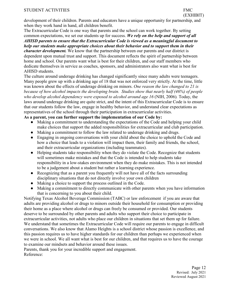#### STUDENT ACTIVITIES FMC

development of their children. Parents and educators have a unique opportunity for partnership, and when they work hand in hand, all children benefit.

The Extracurricular Code is one way that parents and the school can work together. By setting common expectations, we set our students up for success. *We rely on the help and support of all AHISD parents to ensure that the Extracurricular Code is viewed as a meaningful document to help our students make appropriate choices about their behavior and to support them in their character development.* We know that the partnership between our parents and our district is dependent upon mutual trust and support. This document reflects the spirit of partnership between home and school. Our parents want what is best for their children, and our staff members who dedicate themselves in service as coaches, sponsors, and administrators also want what is best for

AHISD students.

The culture around underage drinking has changed significantly since many adults were teenagers. Many people grew up with a drinking age of 18 that was not enforced very strictly. At the time, little was known about the effects of underage drinking on minors. *One reason the law changed to 21 is because of how alcohol impacts the developing brain. Studies show that nearly half (46%) of people who develop alcohol dependency were exposed to alcohol around age 16* (NIH, 2006)*.* Today, the laws around underage drinking are quite strict, and the intent of this Extracurricular Code is to ensure that our students follow the law, engage in healthy behavior, and understand clear expectations as representatives of the school through their participation in extracurricular activities.

#### **As a parent, you can further support the implementation of our Code by:**

- Making a commitment to understanding the expectations of the Code and helping your child make choices that support the added responsibilities for extracurricular and club participation.
- Making a commitment to follow the law related to underage drinking and drugs.
- Engaging in ongoing conversations with your child about the choice to uphold the Code and how a choice that leads to a violation will impact them, their family and friends, the school, and their extracurricular organizations (including teammates).
- Helping students take responsibility when they do violate the Code. Recognize that students will sometimes make mistakes and that the Code is intended to help students take responsibility in a low-stakes environment when they do make mistakes. This is not intended to be a judgement about a student but rather a learning experience.
- Recognizing that as a parent you frequently will not have all of the facts surrounding disciplinary situations that do not directly involve your own children
- Making a choice to support the process outlined in the Code.
- Making a commitment to directly communicate with other parents when you have information that is concerning to you about their child.

Notifying Texas Alcohol Beverage Commission (TABC) or law enforcement if you are aware that adults are providing alcohol or drugs to minors outside their household for consumption or providing their home as a place where alcohol or drugs can freely be consumed or provided. Our students deserve to be surrounded by other parents and adults who support their choice to participate in extracurricular activities, not adults who place our children in situations that set them up for failure. We understand that sometimes the Extracurricular Code will require our parents to engage in difficult conversations. We also know that Alamo Heights is a school district whose passion is excellence, and this passion requires us to have higher standards for our children than perhaps we experienced when we were in school. We all want what is best for our children, and that requires us to have the courage to examine our mindsets and behavior around these issues.

Parents, thank you for your incredible support and engagement. Reference: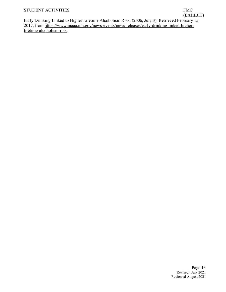#### STUDENT ACTIVITIES FMC

# (EXHIBIT)

Early Drinking Linked to Higher Lifetime Alcoholism Risk. (2006, July 3). Retrieved February 15, 2017, from [https://www.niaaa.nih.gov/news-events/news-releases/early-drinking-linked-higher](https://www.niaaa.nih.gov/news-events/news-releases/early-drinking-linked-higher-lifetime-)[lifetime-alcoholism-risk.](https://www.niaaa.nih.gov/news-events/news-releases/early-drinking-linked-higher-lifetime-)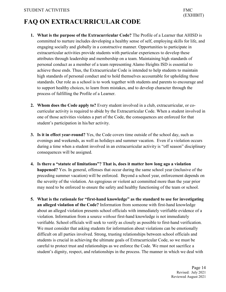# <span id="page-13-0"></span>**FAQ ON EXTRACURRICULAR CODE**

- **1. What is the purpose of the Extracurricular Code?** The Profile of a Learner that AHISD is committed to nurture includes developing a healthy sense of self, employing skills for life, and engaging socially and globally in a constructive manner. Opportunities to participate in extracurricular activities provide students with particular experiences to develop these attributes through leadership and membership on a team. Maintaining high standards of personal conduct as a member of a team representing Alamo Heights ISD is essential to achieve these ends. Thus, the Extracurricular Code is intended to help students to maintain high standards of personal conduct and to hold themselves accountable for upholding those standards. Our role as a school is to work together with students and parents to encourage and to support healthy choices, to learn from mistakes, and to develop character through the process of fulfilling the Profile of a Learner.
- **2. Whom does the Code apply to?** Every student involved in a club, extracurricular, or cocurricular activity is required to abide by the Extracurricular Code. When a student involved in one of those activities violates a part of the Code, the consequences are enforced for that student's participation in his/her activity.
- **3. Is it in effect year-round?** Yes, the Code covers time outside of the school day, such as evenings and weekends, as well as holidays and summer vacation. Even if a violation occurs during a time when a student involved in an extracurricular activity is "off season" disciplinary consequences will be assigned.
- **4. Is there a "statute of limitations"? That is, does it matter how long ago a violation happened?** Yes. In general, offenses that occur during the same school year (inclusive of the preceding summer vacation) will be enforced. Beyond a school year, enforcement depends on the severity of the violation. An egregious or violent act committed more than the year prior may need to be enforced to ensure the safety and healthy functioning of the team or school.
- **5. What is the rationale for "first-hand knowledge" as the standard to use for investigating an alleged violation of the Code?** Information from someone with first-hand knowledge about an alleged violation presents school officials with immediately verifiable evidence of a violation. Information from a source *without* first-hand knowledge is not immediately verifiable. School officials will seek to verify as closely as possible to first-hand verification. We must consider that asking students for information about violations can be emotionally difficult on all parties involved. Strong, trusting relationships between school officials and students is crucial in achieving the ultimate goals of Extracurricular Code, so we must be careful to protect trust and relationships as we enforce the Code. We must not sacrifice a student's dignity, respect, and relationships in the process. The manner in which we deal with

Page 14 Revised: July 2021 Reviewed August 2021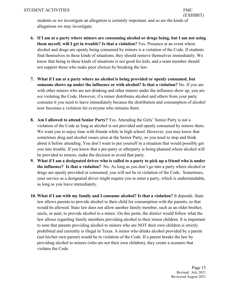students as we investigate an allegation is certainly important, and so are the kinds of allegations we may investigate.

- **6. If I am at a party where minors are consuming alcohol or drugs being, but I am not using them myself, will I get in trouble? Is that a violation?** Yes. Presence at an event where alcohol and drugs are openly being consumed by minors is a violation of the Code. If students find themselves in these kinds of situations, they should remove themselves immediately. We know that being in these kinds of situations is not good for kids, and a team member should not support those who make poor choices by breaking the law.
- **7. What if I am at a party where no alcohol is being provided or openly consumed, but someone shows up under the influence or with alcohol? Is that a violation?** No. If you are with other minors who are not drinking and other minors under the influence show up, you are *not* violating the Code. However, if a minor distributes alcohol and others from your party consume it you need to leave immediately because the distribution and consumption of alcohol now becomes a violation for everyone who remains there.
- **8. Am I allowed to attend Senior Party?** Yes. Attending the Girls' Senior Party is not a violation of the Code as long as alcohol is not provided and openly consumed by minors there. We want you to enjoy time with friends while in high school. However, you may know that sometimes drug and alcohol issues arise at the Senior Party, so you need to stop and think about it before attending. You don't want to put yourself in a situation that would possibly get you into trouble. If you know that a pre-party or afterparty is being planned where alcohol will be provided to minors, make the decision to avoid that party.
- **9. What if I am a designated driver who is called to a party to pick up a friend who is under the influence? Is that a violation?** No. As long as you don't go into a party where alcohol or drugs are openly provided or consumed, you will not be in violation of the Code. Sometimes, your service as a designated driver might require you to enter a party, which is understandable, as long as you leave immediately.
- **10. What if I am with my family and I consume alcohol? Is that a violation?** It depends. State law allows parents to provide alcohol to their child for consumption with the parents, so that would be allowed. State law does not allow another family member, such as an older brother, uncle, or aunt, to provide alcohol to a minor. On this point, the district would follow what the law allows regarding family members providing alcohol to their minor children. It is important to note that parents providing alcohol to minors who are NOT their own children is strictly prohibited and currently is illegal in Texas. A minor who drinks alcohol provided by a parent (not his/her own parent) would be in violation of the Code. If a parent breaks the law by providing alcohol to minors (who are not their own children), they create a scenario that violates the Code.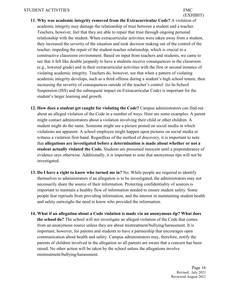- **11. Why was academic integrity removed from the Extracurricular Code?** A violation of academic integrity may damage the relationship of trust between a student and a teacher. Teachers, however, feel that they are able to repair that trust through ongoing personal relationship with the student. When extracurricular activities were taken away from a student, they increased the severity of the situation and took decision making out of the control of the teacher, impeding the repair of the student-teacher relationship, which is crucial to a constructive classroom environment. Based on input from teachers and students, we came to see that it felt like double jeopardy to have a students receive consequences in the classroom (e.g., lowered grade) and in their extracurricular activities with the first or second instance of violating academic integrity. Teachers do, however, see that when a pattern of violating academic integrity develops, such as a third offense during a student's high school tenure, then increasing the severity of consequences outside of the teacher's control (to In-School Suspension (ISS) and the subsequent impact on Extracurricular Code) is important for the student's larger learning and growth.
- **12. How does a student get caught for violating the Code?** Campus administrators can find out about an alleged violation of the Code in a number of ways. Here are some examples: A parent might contact administrators about a violation involving their child or other children. A student might do the same. Someone might see a picture posted on social media in which violations are apparent. A school employee might happen upon pictures on social media or witness a violation first-hand. Regardless of the method of discovery, it is important to note that **allegations are investigated before a determination is made about whether or not a student actually violated the Code.** Students are presumed innocent until a preponderance of evidence says otherwise. Additionally, it is important to note that anonymous tips will not be investigated.
- **13. Do I have a right to know who turned me in?** No. While people are required to identify themselves to administrators if an allegation is to be investigated, the administrators may not necessarily share the source of their information. Protecting confidentiality of sources is important to maintain a healthy flow of information needed to ensure student safety. Some people fear reprisals from providing information, and the interest in maintaining student health and safety outweighs the need to know who provided the information.
- **14. What if an allegation about a Code violation is made via an anonymous tip? What does the school do?** The school will not investigate an alleged violation of the Code that comes from an anonymous source unless they are about mistreatment/bullying/harassment. It is important, however, for parents and students to have a partnership that encourages open communication about health and safety. Campus administrators may, therefore, notify the parents of children involved in the allegation so all parents are aware that a concern has been raised. No other action will be taken by the school unless the allegations involve mistreatment/bullying/harassment.

Page 16 Revised: July 2021 Reviewed August 2021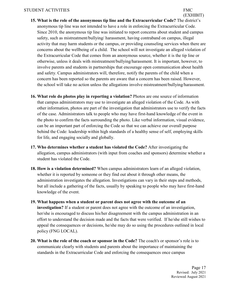- **15. What is the role of the anonymous tip line and the Extracurricular Code?** The district's anonymous tip line was not intended to have a role in enforcing the Extracurricular Code. Since 2010, the anonymous tip line was initiated to report concerns about student and campus safety, such as mistreatment/bullying/ harassment, having contraband on campus, illegal activity that may harm students or the campus, or providing counseling services when there are concerns about the wellbeing of a child. The school will not investigate an alleged violation of the Extracurricular Code that comes from an anonymous source, whether it is the tip line or otherwise, unless it deals with mistreatment/bullying/harassment. It is important, however, to involve parents and students in partnerships that encourage open communication about health and safety. Campus administrators will, therefore, notify the parents of the child when a concern has been reported so the parents are aware that a concern has been raised. However, the school will take no action unless the allegations involve mistreatment/bullying/harassment.
- **16. What role do photos play in reporting a violation?** Photos are one source of information that campus administrators may use to investigate an alleged violation of the Code. As with other information, photos are part of the investigation that administrators use to verify the facts of the case. Administrators talk to people who may have first-hand knowledge of the event in the photo to confirm the facts surrounding the photo. Like verbal information, visual evidence, can be an important part of enforcing the Code so that we can achieve our overall purpose behind the Code: leadership within high standards of a healthy sense of self, employing skills for life, and engaging socially and globally.
- **17. Who determines whether a student has violated the Code?** After investigating the allegation, campus administrators (with input from coaches and sponsors) determine whether a student has violated the Code.
- **18. How is a violation determined?** When campus administrators learn of an alleged violation, whether it is reported by someone or they find out about it through other means, the administration investigates the allegation. Investigations can vary in their steps and methods, but all include a gathering of the facts, usually by speaking to people who may have first-hand knowledge of the event.
- **19. What happens when a student or parent does not agree with the outcome of an investigation?** If a student or parent does not agree with the outcome of an investigation, her/she is encouraged to discuss his/her disagreement with the campus administration in an effort to understand the decision made and the facts that were verified. If he/she still wishes to appeal the consequences or decisions, he/she may do so using the procedures outlined in local policy (FNG LOCAL).
- **20. What is the role of the coach or sponsor in the Code?** The coach's or sponsor's role is to communicate clearly with students and parents about the importance of maintaining the standards in the Extracurricular Code and enforcing the consequences once campus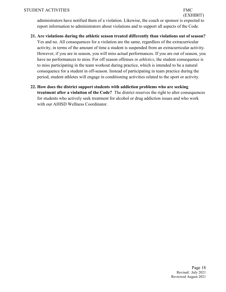(EXHIBIT) administrators have notified them of a violation. Likewise, the coach or sponsor is expected to report information to administrators about violations and to support all aspects of the Code.

- **21. Are violations during the athletic season treated differently than violations out of season?**  Yes and no. All consequences for a violation are the same, regardless of the extracurricular activity, in terms of the amount of time a student is suspended from an extracurricular activity. However, if you are in season, you will miss actual performances. If you are out of season, you have no performances to miss. For off season offenses *in athletics*, the student consequence is to miss participating in the team workout during practice, which is intended to be a natural consequence for a student in off-season. Instead of participating in team practice during the period, student athletes will engage in conditioning activities related to the sport or activity.
- **22. How does the district support students with addiction problems who are seeking treatment after a violation of the Code?** The district reserves the right to alter consequences for students who actively seek treatment for alcohol or drug addiction issues and who work with our AHISD Wellness Coordinator.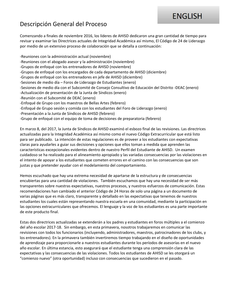# **ENGLISH**

## Descripción General del Proceso

Comenzando a finales de noviembre 2016, los líderes de AHISD dedicaron una gran cantidad de tiempo para revisar y examinar las Directrices actuales de Integridad Académica así mismo, El Código de 24 de Liderazgo por medio de un extensivo proceso de colaboración que se detalla a continuación:

-Reuniones con la administración actual (noviembre)

-Reuniones con el abogado asesor y la administración (noviembre)

-Grupos de enfoqué con los entrenadores de AHISD (noviembre)

- -Grupos de enfoqué con los encargados de cada departamento de AHISD (diciembre)
- -Grupos de enfoqué con los entrenadores en jefe de AHISD (diciembre)
- -Sesiones de medio día Foros de Liderazgo de Estudiantes (enero)
- -Sesiones de medio día con el Subcomité de Consejo Consultivo de Educación del Distrito -DEAC (enero)
- -Actualización de presentación de la Junta de Síndicos (enero)
- -Reunión con el Subcomité de DEAC (enero)
- -Enfoqué de Grupo con los maestros de Bellas Artes (febrero)
- -Enfoqué de Grupo sesión y comida con los estudiantes del Foro de Liderazgo (enero)
- -Presentación a la Junta de Síndicos de AHISD (febrero)
- -Grupo de enfoqué con el equipo de toma de decisiones de preparatoria (febrero)

En marzo 8, del 2017, la Junta de Síndicos de AHISD examinó el esbozo final de las revisiones. Las directrices actualizadas para la Integridad Académica así mismo como el nuevo Código Extracurricular que está listo para ser publicado. La intención de estas regulaciones es de proveer a los estudiantes con expectativas claras para ayudarles a guiar sus decisiones y opciones que ellos toman a medida que aprenden las características excepcionales evidentes dentro de nuestro Perfil del Estudiante de AHISD. Un examen cuidadoso se ha realizado para el alineamiento apropiado y las variadas consecuencias por las violaciones en el intento de apoyar a los estudiantes que cometen errores en el camino con las consecuencias que son justas y que pretender ayudar con el modelamiento del comportamiento.

Hemos escuchado que hay una extrema necesidad de apartarse de la estructura y de consecuencias encubiertas para una cantidad de violaciones. También escuchamos que hay una necesidad de ser más transparentes sobre nuestras expectativas, nuestros procesos, y nuestros esfuerzos de comunicación. Estas recomendaciones han cambiado el anterior Código de 24 Horas de solo una página a un documento de varias páginas que es más claro, transparente y detallado en las expectativas que tenemos de nuestros estudiantes los cuales están representando nuestra escuela en una comunidad, mediante la participación en las opciones extracurriculares que ofrecemos. El lenguaje y la voz de los estudiantes es una parte importante de este producto final.

Estas dos directrices actualizadas se extenderán a los padres y estudiantes en foros múltiples a el comienzo del año escolar 2017-18. Sin embargo, en esta primavera, nosotros trabajaremos en comunicar las revisiones con todos los funcionarios (incluyendo, administradores, maestros, patrocinadores de los clubs, y los entrenadores). En la primavera también invertiremos tiempo trabajando en el diseño de oportunidades de aprendizaje para proporcionarle a nuestros estudiantes durante los períodos de asesorías en el nuevo año escolar. En última estancia, esto asegurará que el estudiante tenga una comprensión clara de las expectativas y las consecuencias de las violaciones. Todos los estudiantes de AHISD se les otorgará un "comienzo nuevo" (otra oportunidad) incluso con consecuencias que sucedieron en el pasado.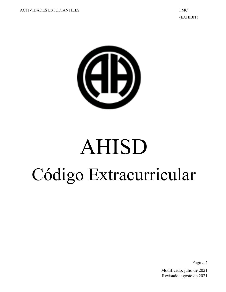

# AHISD Código Extracurricular

Página 2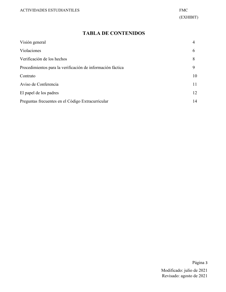#### **TABLA DE CONTENIDOS**

| Visión general                                             | 4  |
|------------------------------------------------------------|----|
| Violaciones                                                | 6  |
| Verificación de los hechos                                 | 8  |
| Procedimientos para la verificación de información fáctica | 9  |
| Contrato                                                   | 10 |
| Aviso de Conferencia                                       | 11 |
| El papel de los padres                                     | 12 |
| Preguntas frecuentes en el Código Extracurricular          | 14 |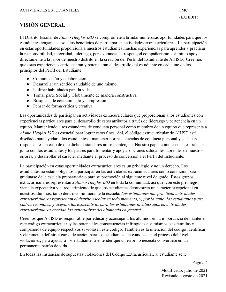#### **VISIÓN GENERAL**

El Distrito Escolar de *Alamo Heights ISD* se compromete a brindar numerosas oportunidades para que los estudiantes tengan acceso a los beneficios de participar en actividades extracurriculares. La participación en estas oportunidades proporciona a nuestros estudiantes muchas experiencias para aprender y practicar la responsabilidad, integridad, liderazgo, perseverancia, el respeto, el compañerismo, así mimo apoya directamente a la labor de nuestro distrito en la creación del Perfil del Estudiante de AHISD. Creemos que estas experiencias enriquecerán y potenciarán el desarrollo del estudiante en cada uno de los principios del Perfil del Estudiante:

- Comunicación y colaboración
- Desarrollar un sentido saludable de uno mismo
- Utilizar habilidades para la vida
- Tomar parte Social y Globalmente de manera constructiva
- Búsqueda de conocimiento y compresión
- Pensar de forma crítica y creativa

Las oportunidades de participar en actividades extracurriculares que proporcionan a los estudiantes con experiencias particulares para el desarrollo de estos atributos a través de liderazgo y pertenencia en un equipo. Manteniendo altos estándares de conducta personal como miembro de un equipo que representa a *Alamo Heights ISD* es esencial para lograr estos fines. Así, el código extracurricular de AHISD está diseñado para ayudar a los estudiantes a mantener normas elevadas de conducta personal y se hacen responsables en caso de que dichos estándares no se mantengan. Nuestro papel como escuela es trabajar junto con los estudiantes y los padres para fomentar y apoyar opciones saludables, aprender de nuestros errores, y desarrollar el carácter mediante el proceso de conversión a el Perfil del Estudiante.

La participación en estas oportunidades extracurriculares es un privilegio y no un derecho. Los estudiantes no están obligados a participar en las actividades extracurriculares como condición para graduarse de la escuela preparatoria o para su promoción al siguiente nivel de grado. Estos grupos extracurriculares representan a *Alamo Heights ISD* en toda la comunidad, así que, con este privilegio, viene la expectativa y el requerimiento de que los estudiantes demuestren un carácter excepcional en nuestros alumnos, tanto dentro como fuera de la escuela. *Los estudiantes que practican actividades extracurriculares representan el distrito escolar en todo momento, y, por lo tanto, los estudiantes y sus padres reconocen y aceptan las expectativas para los estudiantes involucrados en actividades extracurriculares excedan las expectativas del alumnado en general.*

Creemos que AHISD es responsable por educar y aconsejar a los alumnos en la importancia de mantener este código extracurricular, y las potenciales consecuencias infringidas a sí mismos, sus familias y compañeros de equipo respectivos si violasen este código. También es la intención del código identificar y claramente definir el curso de acción para los estudiantes, apoyándose en el proceso del nivel violaciones, para ayudar a los estudiantes a entender que un error no necesita convertirse en un permanente patrón de vida.

En todas las instancias de supuestas violaciones del Código Extracurricular, al estudiante se le

Página 4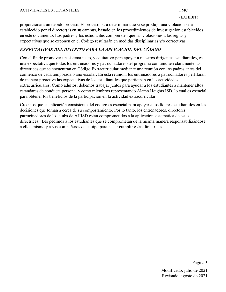proporcionara un debido proceso. El proceso para determinar que si se produjo una violación será establecido por el director(a) en su campus, basado en los procedimientos de investigación establecidos en este documento. Los padres y los estudiantes comprenden que las violaciones a las reglas y expectativas que se exponen en el Código resultarán en medidas disciplinarias y/o correctivas.

#### *EXPECTATIVAS DEL DISTRITO PARA LA APLICACIÓN DEL CÓDIGO*

Con el fin de promover un sistema justo, y equitativo para apoyar a nuestros dirigentes estudiantiles, es una expectativa que todos los entrenadores y patrocinadores del programa comuniquen claramente las directrices que se encuentran en Código Extracurricular mediante una reunión con los padres antes del comienzo de cada temporada o año escolar. En esta reunión, los entrenadores o patrocinadores perfilarán de manera proactiva las expectativas de los estudiantiles que participan en las actividades extracurriculares. Como adultos, debemos trabajar juntos para ayudar a los estudiantes a mantener altos estándares de conducta personal y como miembros representando Alamo Heights ISD, lo cual es esencial para obtener los beneficios de la participación en la actividad extracurricular.

Creemos que la aplicación consistente del código es esencial para apoyar a los líderes estudiantiles en las decisiones que toman a cerca de su comportamiento. Por lo tanto, los entrenadores, directores patrocinadores de los clubs de AHISD están comprometidos a la aplicación sistemática de estas directrices. Les pedimos a los estudiantes que se comprometan de la misma manera responsabilizándose a ellos mismo y a sus compañeros de equipo para hacer cumplir estas directrices.

Página 5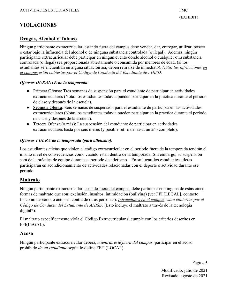### **VIOLACIONES**

#### **Drogas, Alcohol y Tabaco**

Ningún participante extracurricular, estando fuera del campus debe vender, dar, entregar, utilizar, poseer o estar bajo la influencia del alcohol o de ninguna substancia controlada (o ilegal). Además, ningún participante extracurricular debe participar en ningún evento donde alcohol o cualquier otra substancia controlada (o ilegal) sea proporcionada abiertamente o consumida por menores de edad. (si los estudiantes se encuentran en alguna situación así, deben retirarse de inmediato). *Nota: las infracciones en el campus están cubiertas por el Código de Conducta del Estudiante de AHISD.*

#### *Ofensas DURANTE de la temporada:*

- Primera Ofensa: Tres semanas de suspensión para el estudiante de participar en actividades extracurriculares (Nota: los estudiantes todavía pueden participar en la práctica durante el periodo de clase y después de la escuela).
- Segunda Ofensa: Seis semanas de suspensión para el estudiante de participar en las actividades extracurriculares (Nota: los estudiantes todavía pueden participar en la práctica durante el periodo de clase y después de la escuela).
- Tercera Ofensa (o más): La suspensión del estudiante de participar en actividades extracurriculares hasta por seis meses (y posible retiro de hasta un año completo).

#### *Ofensas FUERA de la temporada (para atletismo):*

Los estudiantes atletas que violen el código extracurricular en el período fuera de la temporada tendrán el mismo nivel de consecuencias como cuando están dentro de la temporada; Sin embargo, su suspensión será de la práctica de equipo durante su periodo de atletismo. En su lugar, los estudiantes atletas participarán en acondicionamiento de actividades relacionadas con el deporte o actividad durante ese periodo

#### **Maltrato**

Ningún participante extracurricular, estando fuera del campus, debe participar en ninguna de estas cinco formas de maltrato que son: exclusión, insultos, intimidación (bullying) (ver FFI [LEGAL], contacto físico no deseado, o actos en contra de otras personas). *Infracciones en el campus están cubiertas por el Código de Conducta del Estudiante de AHISD.* (Esto incluye el maltrato a través de la tecnología digital\*).

El maltrato específicamente viola el Código Extracurricular si cumple con los criterios descritos en FFI(LEGAL):

#### **Acoso**

Ningún participante extracurricular deberá, *mientras esté fuera del campus*, participar en el acoso prohibido *de un estudiante* según lo define FFH (LOCAL)

Página 6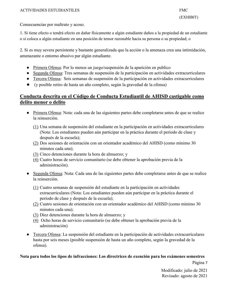Consecuencias por maltrato y acoso.

1. Si tiene efecto o tendrá efecto en dañar físicamente a algún estudiante daños a la propiedad de un estudiante o si coloca a algún estudiante en una posición de temor razonable hacia su persona o su propiedad; o

2. Si es muy severa persistente y bastante generalizada que la acción o la amenaza crea una intimidación, amenazante o entorno abusivo par algún estudiante.

- Primera Ofensa: Por lo menos un juego/suspensión de la aparición en publico
- Segunda Ofensa: Tres semanas de suspensión de la participación en actividades extracurriculares
- Tercera Ofensa: Seis semanas de suspensión de la participación en actividades extracurriculares
- (y posible retiro de hasta un año completo, según la gravedad de la ofensa)

#### **Conducta descrita en el Código de Conducta Estudiantil de AHISD castigable como delito menor o delito**

- Primera Ofensa: Nota: cada una de las siguientes partes debe completarse antes de que se realice la reinserción.
	- (1) Una semana de suspensión del estudiante en la participación en actividades extracurriculares (Nota: Los estudiantes pueden aún participar en la práctica durante el período de clase y después de la escuela);
	- (2) Dos sesiones de orientación con un orientador académico del AHISD (como mínimo 30 minutos cada una);
	- (3) Cinco detenciones durante la hora de almuerzo; y
	- (4) Cuatro horas de servicio comunitario (se debe obtener la aprobación previa de la administración).
- Segunda Ofensa: Nota: Cada una de las siguientes partes debe completarse antes de que se realice la reinserción.
	- (1) Cuatro semanas de suspensión del estudiante en la participación en actividades extracurriculares (Nota: Los estudiantes pueden aún participar en la práctica durante el período de clase y después de la escuela);
	- (2) Cuatro sesiones de orientación con un orientador académico del AHISD (como mínimo 30 minutos cada una);
	- (3) Diez detenciones durante la hora de almuerzo; y
	- (4) Ocho horas de servicio comunitario (se debe obtener la aprobación previa de la administración)
- Tercera Ofensa: La suspensión del estudiante en la participación de actividades extracurriculares hasta por seis meses (posible suspensión de hasta un año completo, según la gravedad de la ofensa).

#### **Nota para todos los tipos de infracciones: Los directrices de exención para los exámenes semestres**

Página 7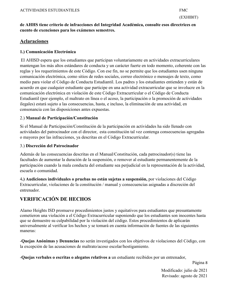#### **de AHHS tiene criterio de infracciones del Integridad Académica, consulte esos directrices en cuento de exenciones para los exámenes semestres.**

#### **Aclaraciones**

#### **1.) Comunicación Electrónica**

El AHISD espera que los estudiantes que participan voluntariamente en actividades extracurriculares mantengan los más altos estándares de conducta y un carácter fuerte en todo momento, coherente con las reglas y los requerimientos de este Código. Con ese fin, no se permite que los estudiantes usen ninguna comunicación electrónica, como sitios de redes sociales, correo electrónico o mensajes de texto, como medio para violar el Código de Conducta Estudiantil. Los padres y los estudiantes entienden y están de acuerdo en que cualquier estudiante que participe en una actividad extracurricular que se involucre en la comunicación electrónica en violación de este Código Extracurricular o el Código de Conducta Estudiantil (por ejemplo, el maltrato en línea o el acoso, la participación o la promoción de actividades ilegales) estará sujeto a las consecuencias, hasta, e incluso, la eliminación de una actividad, en consonancia con las disposiciones antes expuestas.

#### 2.) **Manual de Participación/Constitución**

Si el Manual de Participación/Constitución de la participación en actividades ha sido llenado con actividades del patrocinador con el director, esta constitución tal vez contenga consecuencias agregadas o mayores por las infracciones, ya descritas en el Código Extracurricular.

#### 3.) **Discreción del Patrocinador**

Además de las consecuencias descritas en el Manual/Constitución, cada patrocinador(s) tiene las facultades de aumentar la duración de la suspensión, o remover al estudiante permanentemente de la participación cuando la mala conducta del estudiante sea perjudicial en la representación de la actividad, escuela o comunidad.

4**.) Audiciones individuales o pruebas no están sujetas a suspensión,** por violaciones del Código Extracurricular, violaciones de la constitución / manual y consecuencias asignadas a discreción del entrenador.

### **VERIFICACIÓN DE HECHOS**

Alamo Heights ISD promueve procedimientos justos y equitativos para estudiantes que presuntamente cometieron una violación a el Código Extracurricular suponiendo que los estudiantes son inocentes hasta que se demuestre su culpabilidad por la violación del código. Estos procedimientos de aplicarán universalmente al verificar los hechos y se tomará en cuenta información de fuentes de las siguientes maneras:

-**Quejas Anónimas y Denuncias** no serán investigados con los objetivos de violaciones del Código, con la excepción de las acusaciones de maltrato/acoso escolar/hostigamiento.

-**Quejas verbales o escritas o alegatos relativos a** un estudiante recibidos por un entrenador,

Página 8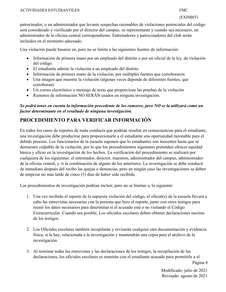patrocinador, o un administrador que levante sospechas razonables de violaciones potenciales del código será considerado y verificado por el director del campus, su representante y cuando sea necesario, un administrador de la oficina central correspondiente. Entrenadores y patrocinadores del club serán incluidos en el momento adecuado.

Una violación puede basarse en, pero no se limita a las siguientes fuentes de información:

- Información de primera mano por un empleado del distrito o por un oficial de la ley, de violación del código.
- El estudiante admite la violación a un empleado del distrito
- Información de primera mano de la violación, por múltiples fuentes que corroboraron
- Una imagen que muestre la violación (algunas veces depende de diferentes fuentes, que corroboran)
- Un correo electrónico o mensaje de texto que proporcione las pruebas de la violación
- Rumores de información NO SERÁN usados en ninguna investigación.

#### *Se podrá tener en cuenta la información procedente de los rumores, pero NO se la utilizará como un factor determinante en el resultado de ninguna investigación.*

## **PROCEDIMIENTO PARA VERIFICAR INFORMACIÓN**

En todos los casos de reportes de mala conducta que podrían resultar en consecuencias para el estudiante, una investigación debe producirse para proporcionarle a el estudiante una oportunidad razonable para el debido proceso. Los funcionarios de la escuela suponen que lo estudiantes son inocentes hasta que se demuestre culpable de la violación, por lo que los procedimientos siguientes pretenden ofrecer equidad básica y eficaz en la investigación de los hechos. La verificación del procedimiento se realizará por cualquiera de los siguientes: el entrenador, director, maestros, administrador del campus, administrador de la oficina central, y /o la combinación de alguno de los anteriores. La investigación se debe conducir de inmediato después del recibo las quejas o denuncias, pero en ningún caso las investigaciones se deben de empezar no más tarde de cinco (5) días de haber sido recibida.

Los procedimientos de investigación podrían incluir, pero no se limitan a, lo siguiente:

- 1. Una vez recibido el reporte de la supuesta violación del código, el oficial(s) de la escuela llevará a cabo las entrevistas necesarias con la persona que hizo el reporte, junto con otros testigos para reunir los datos necesarios para determinar si el acusado está o no violando el Código Extracurricular. Cuando sea posible, Los oficiales escolares deben obtener declaraciones escritas de los testigos.
- 2. Los Oficiales escolares también recopilarán y revisarán cualquier otra documentación y evidencia física, si la hay, relacionada a la investigación y mantendrán una copia para el archivo de la investigación.
- 3. Al terminar todas las entrevistas y las declaraciones de los testigos, la recopilación de las declaraciones, los oficiales escolares se reunirán con el estudiante acusado para permitirle a el

Página 9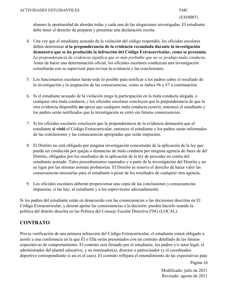alumno la oportunidad de abordar todas y cada una de las alegaciones investigadas. El estudiante debe tener el derecho de preparar y presentar una declaración escrita.

- 4. Una vez que el estudiante acusado de la violación del código respondió, los oficiales escolares deben determinar **si la preponderancia de la evidencia recaudada durante la investigación demuestra que se ha producido la infracción del Código Extracurricular, como se presumía**. *La preponderancia de evidencia significa que es más probable que no se produjo mala conducta.* Antes de hacer una determinación oficial, los oficiales escolares conduzcan una investigación consultarán con su supervisor para revisar la evidencia y las conclusiones.
- 5. Los funcionarios escolares harán todo lo posible para notificar a los padres sobre el resultado de la investigación y la asignación de las consecuencias, como se indica #6 y #7 a continuación.
- 6. Si el estudiante acusado de la violación niega la participación en la mala conducta alegada, o cualquier otra mala conducta, *y* los oficiales escolares concluyen que la preponderancia de que la otra evidencia disponible **no** apoya que cualquier mala conducta ocurrió, entonces el estudiante y los padres serán notificados que la investigación se cerró sin futuras consecuencias.
- 7. Si los oficiales escolares concluyen que la preponderancia de la evidencia demuestra que el estudiante **si violó** el Código Extracurricular, entonces el estudiante y los padres serán informados de las conclusiones y las consecuencias apropiadas que serán impuestas.
- 8. El Distrito no está obligado por ninguna investigación concurrente de la aplicación de la ley que pueda ser conducida por quejas o denuncias de mala conducta por ninguna agencia de fuera de del Distrito, obligados por los resultados de la aplicación de la ley de proceder en contra del estudiante acusado. Tales procedimientos separados y a parte de la investigación del Distrito y no se rigen por las mismas normas probatorias. El Distrito se reserva el derecho de hacer valer las consecuencias necesarias para el estudiante a pesar de los resultados de cualquier otra agencia.
- 9. Los oficiales escolares deberán proporcionar una copia de las conclusiones y consecuencias impuestas, si las hay, al estudiante y a los supervisores adecuadamente.

Si los padres del estudiante están en desacuerdo con las consecuencias o las decisiones descritas en El Código Extracurricular, y desean apelar las consecuencias o la decisión, pueden hacerlo usando la política del distrito descrita en las Política del Consejo Escolar Directiva FNG (LOCAL).

### **CONTRATO**

Previa verificación de una primera infracción del Código Extracurricular, el estudiante estará obligado a asistir a una conferencia en la que Él o Ella serán presentados con un contrato detallado de las futuras expectativas de comportamiento. El contrato será firmado por el estudiante, los padres y/o tutor legal, el administrador del plantel educativo, y su entrenador(a), director o patrocinador (y el coordinador deportivo correspondiente si así es el caso). El contrato reflejara el entendimiento de las expectativas pata

Página 10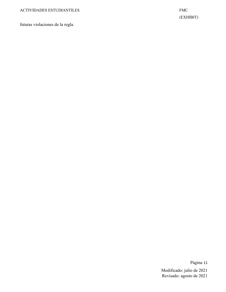futuras violaciones de la regla.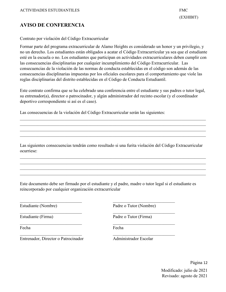#### **AVISO DE CONFERENCIA**

Contrato por violación del Código Extracurricular

Formar parte del programa extracurricular de Alamo Heights es considerado un honor y un privilegio, y no un derecho. Los estudiantes están obligados a acatar el Código Extracurricular ya sea que el estudiante esté en la escuela o no. Los estudiantes que participan en actividades extracurriculares deben cumplir con las consecuencias disciplinarias por cualquier incumplimiento del Código Extracurricular. Las consecuencias de la violación de las normas de conducta establecidas en el código son además de las consecuencias disciplinarias impuestas por los oficiales escolares para el comportamiento que viole las reglas disciplinarias del distrito establecidas en el Código de Conducta Estudiantil.

Este contrato confirma que se ha celebrado una conferencia entre el estudiante y sus padres o tutor legal, su entrenador(a), director o patrocinador, y algún administrador del recinto escolar (y el coordinador deportivo correspondiente si así es el caso).

Las consecuencias de la violación del Código Extracurricular serán las siguientes:

Las siguientes consecuencias tendrán como resultado si una furita violación del Código Extracurricular ocurriese:

\_\_\_\_\_\_\_\_\_\_\_\_\_\_\_\_\_\_\_\_\_\_\_\_\_\_\_\_\_\_\_\_\_\_\_\_\_\_\_\_\_\_\_\_\_\_\_\_\_\_\_\_\_\_\_\_\_\_\_\_\_\_\_\_\_\_\_\_\_\_\_\_\_\_\_\_\_\_\_\_\_\_\_\_ \_\_\_\_\_\_\_\_\_\_\_\_\_\_\_\_\_\_\_\_\_\_\_\_\_\_\_\_\_\_\_\_\_\_\_\_\_\_\_\_\_\_\_\_\_\_\_\_\_\_\_\_\_\_\_\_\_\_\_\_\_\_\_\_\_\_\_\_\_\_\_\_\_\_\_\_\_\_\_\_\_\_\_\_

\_\_\_\_\_\_\_\_\_\_\_\_\_\_\_\_\_\_\_\_\_\_\_\_\_\_\_\_\_\_\_\_\_\_\_\_\_\_\_\_\_\_\_\_\_\_\_\_\_\_\_\_\_\_\_\_\_\_\_\_\_\_\_\_\_\_\_\_\_\_\_\_\_\_\_\_\_\_\_\_\_\_\_\_

Este documento debe ser firmado por el estudiante y el padre, madre o tutor legal si el estudiante es reincorporado por cualquier organización extracurricular

\_\_\_\_\_\_\_\_\_\_\_\_\_\_\_\_\_\_\_\_\_\_\_\_\_\_\_\_ \_\_\_\_\_\_\_\_\_\_\_\_\_\_\_\_\_\_\_\_\_\_\_\_\_\_\_\_

 $\frac{1}{2}$  ,  $\frac{1}{2}$  ,  $\frac{1}{2}$  ,  $\frac{1}{2}$  ,  $\frac{1}{2}$  ,  $\frac{1}{2}$  ,  $\frac{1}{2}$  ,  $\frac{1}{2}$  ,  $\frac{1}{2}$  ,  $\frac{1}{2}$  ,  $\frac{1}{2}$  ,  $\frac{1}{2}$  ,  $\frac{1}{2}$  ,  $\frac{1}{2}$  ,  $\frac{1}{2}$  ,  $\frac{1}{2}$  ,  $\frac{1}{2}$  ,  $\frac{1}{2}$  ,  $\frac{1$ 

Estudiante (Nombre) Padre o Tutor (Nombre)

Estudiante (Firma) Padre o Tutor (Firma)

Fecha Fecha **Fecha** 

Entrenador, Director o Patrocinador Administrador Escolar

Página 12 Modificado: julio de 2021

Revisado: agosto de 2021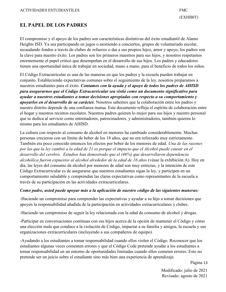#### **EL PAPEL DE LOS PADRES**

El compromiso y el apoyo de los padres son características distintivas del éxito estudiantil de Alamo Heights ISD. Ya sea participando en jugos o asistiendo a conciertos, grupos de voluntariado escolar, recaudando fondos a través de clubes de refuerzo o dar a sus propios hijos, amor y apoyo, los padres son la clave para nuestro éxito. Los padres son los primeros maestros para sus hijos, y nosotros respetamos enormemente el papel criticó que desempeñan en el desarrollo de sus hijos. Los padres y educadores tienen una oportunidad única de trabajar en sociedad, mano a mano, para el beneficio de todos los niños.

El Código Extracurricular es una de las maneras en que los padres y la escuela pueden trabajar en conjunto. Estableciendo expectativas comunes sobre el seguimiento de la ley, nosotros preparamos a nuestros estudiantes para el éxito. *Contamos con la ayuda y el apoyo de todos los padres de AHISD para asegurarnos que el Código Extracurricular sea vistió como un documento significativo para ayudar a nuestros estudiantes a tomar decisiones apropiadas con respecto a su comportamiento y apoyarlos en el desarrollo de su carácter.* Nosotros sabemos que la colaboración entre los padres y nuestro distrito depende de una confianza mutua. Este documento refleja el espíritu de colaboración entre el hogar y nuestros recintos escolares. Nuestros padres quieren lo mejor para sus hijos y nuestro personal que se dedica al servicio como entrenadores, patrocinadores, y administradores, también quieren lo mismo para los estudiantes de AHISD.

La cultura con respecto al consumo de alcohol en menores ha cambiado considerablemente. Muchas personas crecieron con un límite de beber de los 18 años, que no era reforzado muy estrictamente. También era poco conocido entonces los efectos por beber de los menores de edad. *Una de las razones por las que la ley cambió a la edad de 21 es porque el impacto que el Alcohol puede causar en el desarrollo del cerebro. Estudios han demostrado que el (46%) que desarrollaron dependencia alcohólica fueron expuestos al alcohol alrededor de la edad de 16 años* (véase la exhibición A)*.* Hoy en día, las leyes del consumo de alcohol por menores de edad son muy estrictas, y la intención de este Código Extracurricular es de asegurarse que nuestros estudiantes sigan la ley, y participen en un comportamiento saludable y comprendan las claras expectativas como representantes de la escuela a través de su participación en las actividades extracurriculares.

#### *Como padre, usted puede apoyar más a la aplicación de nuestro código de las siguientes maneras:*

-Haciendo un compromiso para comprender las expectativas y ayudar a su hijo a tomar decisiones que apoyen la responsabilidad añadida de la participación en actividades extracurriculares y clubes.

-Haciendo un compromiso de seguir la ley relacionada con la edad de consumo de alcohol y drogas.

-Participar en conversaciones continuas con sus hijos acerca de la opción de mantener el Código y cómo una elección mala que conduce a la violación de Código, impactar a su familia y amigos, la escuela y sus organizaciones extracurriculares (incluyendo a sus compañeros de equipo).

-Ayudando a los estudiantes a tomar responsabilidad cuando ellos violen el Código. Reconocer que los estudiantes algunas veces comenten errores y que el Código Code pretende ayudar a los estudiantes a tomar responsabilidad en un entorno de oportunidades limitadas cuando ellos cometen errores. Esto no pretende ser un juicio sobre el estudiante sino más bien una experiencia de aprendizaje.

Página 13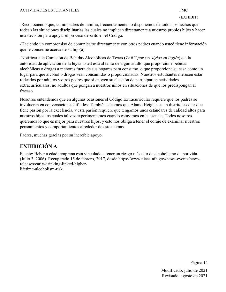-Reconociendo que, como padres de familia, frecuentemente no disponemos de todos los hechos que rodean las situaciones disciplinarias las cuales no implican directamente a nuestros propios hijos y hacer una decisión para apoyar el proceso descrito en el Código.

-Haciendo un compromiso de comunicarse directamente con otros padres cuando usted tiene información que le concierne acerca de su hijo(a).

-Notificar a la Comisión de Bebidas Alcohólicas de Texas (*TABC por sus siglas en inglés*) o a la autoridad de aplicación de la ley si usted está al tanto de algún adulto que proporcione bebidas alcohólicas o drogas a menores fuera de sus hogares para consumo, o que proporcione su casa como un lugar para que alcohol o drogas sean consumidas o proporcionadas. Nuestros estudiantes merecen estar rodeados por adultos y otros padres que sí apoyen su elección de participar en actividades extracurriculares, no adultos que pongan a nuestros niños en situaciones de que los predispongan al fracaso.

Nosotros entendemos que en algunas ocasiones el Código Extracurricular requiere que los padres se involucren en conversaciones difíciles. También sabemos que Alamo Heights es un distrito escolar que tiene pasión por la excelencia, y esta pasión requiere que tengamos unos estándares de calidad altos para nuestros hijos los cuales tal vez experimentamos cuando estuvimos en la escuela. Todos nosotros queremos lo que es mejor para nuestros hijos, y esto nos obliga a tener el coraje de examinar nuestros pensamientos y comportamientos alrededor de estos temas.

Padres, muchas gracias por su increíble apoyo.

#### **EXHIBICIÓN A**

Fuente: Beber a edad temprana está vinculado a tener un riesgo más alto de alcoholismo de por vida. (Julio 3, 2006). Recuperado 15 de febrero, 2017, desde [https://www.niaaa.nih.gov/news-events/news](https://www.niaaa.nih.gov/news-events/news-releases/early-drinking-linked-higher-lifetime-)[releases/early-drinking-linked-higher](https://www.niaaa.nih.gov/news-events/news-releases/early-drinking-linked-higher-lifetime-)[lifetime-alcoholism-risk.](https://www.niaaa.nih.gov/news-events/news-releases/early-drinking-linked-higher-lifetime-)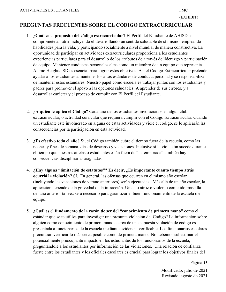#### **PREGUNTAS FRECUENTES SOBRE EL CÓDIGO EXTRACURRICULAR**

- 1. **¿Cuál es el propósito del código extracurricular?** El Perfil del Estudiante de AHISD se compromete a nutrir incluyendo el desarrollando un sentido saludable de sí mismo, empleando habilidades para la vida, y participando socialmente a nivel mundial de manera constructiva. La oportunidad de participar en actividades extracurriculares proporciona a los estudiantes experiencias particulares para el desarrollo de los atributos de a través de liderazgo y participación de equipo. Mantener conductas personales altas como un miembro de un equipo que representa Alamo Heights ISD es esencial para lograr estos objetivos. Así el Código Extracurricular pretende ayudar a los estudiantes a mantener los altos estándares de conducta personal y se responsabiliza de mantener estos estándares. Nuestro papel como escuela es trabajar juntos con los estudiantes y padres para promover el apoyo a las opciones saludables. A aprender de sus errores, y a desarrollar carácter y el proceso de cumplir con El Perfil del Estudiante.
- 2. **¿A quién le aplica el Código?** Cada uno de los estudiantes involucrados en algún club extracurricular, o actividad curricular que requiera cumplir con el Código Extracurricular. Cuando un estudiante esté involucrado en alguna de estas actividades y viole el código, se le aplicarán las consecuencias por la participación en esta actividad.
- 3. **¿Es efectivo todo el año?** Sí, el Código también cubre el tiempo fuera de la escuela, como las noches y fines de semana, días de descanso y vacaciones. Inclusive si la violación sucede durante el tiempo que nuestros atletas o estudiantes están fuera de "la temporada" también hay consecuencias disciplinarias asignadas.
- 4. **¿Hay alguna "limitación de estatutos"? Es decir, ¿Es importante cuanto tiempo atrás ocurrió la violación?** Sí. En general, las ofensas que ocurren en el mismo año escolar (incluyendo las vacaciones de verano anteriores) serán ejecutadas. Más allá de un año escolar, la aplicación depende de la gravedad de la infracción. Un acto atroz o violento cometido más allá del año anterior tal vez será necesario para garantizar el buen funcionamiento de la escuela o el equipo.
- 5. **¿Cuál es el fundamento de la razón de ser del "conocimiento de primera mano"** como el estándar que se te utiliza para investigar una presunta violación del Código? La información sobre alguien como conocimiento de primera mano acerca de una supuesta violación de código es presentada a funcionarios de la escuela mediante evidencia verificable. Los funcionarios escolares procuraran verificar lo más cerca posible como de primera mano. No debemos subestimar el potencialmente preocupante impacto en los estudiantes de los funcionarios de la escuela, preguntándole a los estudiantes por información de las violaciones. Una relación de confianza fuerte entre los estudiantes y los oficiales escolares es crucial para lograr los objetivos finales del

Página 15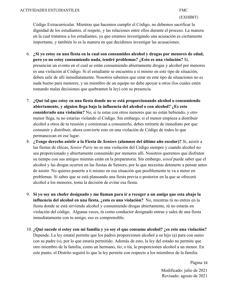Código Extracurricular. Mientras que hacemos cumplir el Código, no debemos sacrificar la dignidad de los estudiantes, el respeto, y las relaciones entre ellos durante el proceso. La manera en la cual tratamos a los estudiantes, ya que estamos investigando una acusación es ciertamente importante, y también lo es la manera en que decidimos investigar las acusaciones.

- 6. **¿Si yo estoy en una fiesta en la cual son consumidos alcohol y drogas por menores de edad, pero yo no estoy consumiendo nada, tendré problemas? ¿Esto es una violación?** Sí, presenciar un evento en el cual se están consumiendo abiertamente drogas y alcohol por menores es una violación al Código. Si el estudiante se encuentra a sí mismo en este tipo de situación, deben salir de allí inmediatamente. Nosotros sabemos que estar en este tipo de situaciones no es nada bueno para menores, y un miembro de un equipo no debe apoyar a otros (los cuales estén tomando malas decisiones que quebranten la ley) con su presencia.
- 7. **¿Qué tal que estoy en una fiesta donde no se está proporcionando alcohol o consumiendo abiertamente, y alguien llega bajo la influencia del alcohol o con alcohol? ¿Es esto considerado una violación?** No, si tu estas con otros menores que no están bebiendo, y otro menor llega, tu no estarías violando el Código. Sin embargo, si el menor empieza a distribuir alcohol a otros de tu reunión y comienzan a consumirlo, debes retirarte de inmediato por que consumir y distribuir, ahora convierte esto en una violación de Código de todos lo que permanezcan en ese lugar.
- 8. **¿Tengo derecho asistir a la Fiesta de** *Seniors* **(alumnos del último año escolar)?** Sí, asistir a las fiestas de chicas, *Senior Party* no es una violación del Código siempre y cuando alcohol no sea proporcionado y abiertamente consumido por menores allí. Nosotros queremos que disfruten su tiempo con sus amigos mientas están en la preparatoria. Sin embargo, *usted* puede saber que el alcohol y las drogas ocurren en las fiestas de Seniors, por lo que necesitas detenerte a pensar antes de asistir. No quieres ponerte a ti mismo en esa situación que posiblemente te va a meter en problemas. Si sabes que se está planeando una fiesta previa o posterior en la que se ofrecerá alcohol a los menores, toma la decisión de evitar esa fiesta.
- 9. **Si yo soy un chofer designado y me llaman para ir a recoger a un amigo que esta abajo la influencia del alcohol en una fiesta, ¿esto es una violación?** No, mientras tú no entres en la fiesta donde se está sirviendo alcohol y consumiendo drogas abiertamente, tú no estarás en violación del código. Algunas veces, tú como conductor designado entras y sales de una fiesta inmediatamente con tu amigo, eso es comprensible.
- 10. **¿Qué sucede si estoy con mi familia y yo soy el que consume alcohol? ¿es esto una violación?** Depende. La ley estatal permite que los padres proporcionen alcohol a su hijo (a) para con sumo con su padre (s), por lo que estaría permitido. Además de esto, la ley del estado no permite que otro miembro de la familia, como un hermano, tío, o tía, le proporcionen alcohol a un menor. En este punto, el Distrito seguirá lo que la ley permite con respecto a los miembros de la familia

Página 16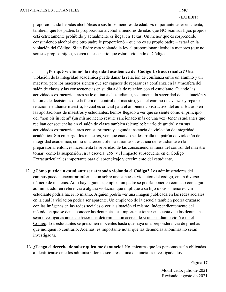proporcionando bebidas alcohólicas a sus hijos menores de edad. Es importante tener en cuenta, también, que los padres la proporcionar alcohol a menores de edad que NO sean sus hijos propios está estrictamente prohibido y actualmente es ilegal en Texas. Un menor que es sorprendido consumiendo alcohol que otro padre le proporcionó – que no es su propio padre – estará en la violación del Código. Si un Padre está violando la ley al proporcionar alcohol a menores (que no son sus propios hijos), se crea un escenario que estaría violando el Código.

- 11. **¿Por qué se eliminó la integridad académica del Código Extracurricular?** Una violación de la integridad académica puede dañar la relación de confianza entre un alumno y un maestro, pero los maestros sienten que ser capaces de reparar esa confianza en la atmosfera del salón de clases y las consecuencias en su día a día de relación con el estudiante. Cuando las actividades extracurriculares se le quitan a el estudiante, se aumenta la severidad de la situación y la toma de decisiones queda fuera del control del maestro, y en el camino de avanzar y reparar la relación estudiante-maestro, lo cual es crucial para el ambiente constructivo del aula. Basado en las aportaciones de maestros y estudiantes, hemos llegado a ver que se siente como el principio del "non bis in ídem" (un mismo hecho resulte sancionado más de una vez) tener estudiantes que reciban consecuencias en el salón de clases también (ejemplo: bajarlo de grado) y en sus actividades extracurriculares con su primera y segunda instancia de violación de integridad académica. Sin embargo, los maestros, ven que cuando se desarrolla un patrón de violación de integridad académica, como una tercera ofensa durante su estancia del estudiante en la preparatoria, entonces incrementa la severidad de las consecuencias fuera del control del maestro tomar (como la suspensión en la escuela (*ISS*) y el impacto subsecuente en el Código Extracurricular) es importante para el aprendizaje y crecimiento del estudiante.
- 12. **¿Cómo puede un estudiante ser atrapado violando el Código?** Los administradores del campus pueden encontrar información sobre una supuesta violación del código, en un diverso número de maneras. Aquí hay algunos ejemplos: un padre se podría poner en contacto con algún administrador en referencia a alguna violación que implique a su hijo u otros menores. Un estudiante podría hacer lo mismo. Alguien podría ver una imagen publicada en las redes sociales en la cual la violación podría ser aparente. Un empleado de la escuela también podría cruzarse con las imágenes en las redes sociales o ver la situación él mismo. Independientemente del método en que se den a conocer las denuncias, es importante tomar en cuenta que las denuncias sean investigadas antes de hacer una determinación acerca de si un estudiante violó o no el Código. Los estudiantes se presumen inocentes hasta que haya una preponderancia de pruebas que indiquen lo contrario. Además, es importante notar que las denuncias anónimas no serán investigadas.
- 13. **¿Tengo el derecho de saber quién me denuncio?** No. mientras que las personas están obligadas a identificarse ente los administradores escolares si una denuncia es investigada, los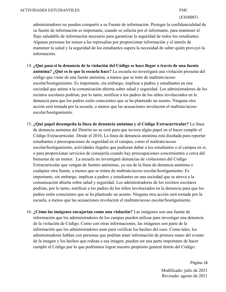administradores no pueden compartir a su Fuente de información. Proteger la confidencialidad de su fuente de información es importante, cuando se solicita por el informante, para mantener el flujo saludable de información necesario para garantizar la seguridad de todos los estudiantes. Algunas personas les temen a las represalias por proporcionar información y el interés de mantener la salud y la seguridad de los estudiantes supera la necesidad de saber quién proveyó la información.

- 14. **¿Qué pasa si la denuncia de la violación del Código se hace llegar a través de una fuente anónima? ¿Qué es lo que la escuela hace?** La escuela no investigará una violación presunta del código que viene de una fuente anónima, a menos que se trate de maltrato/acoso escolar/hostigamiento. Es importante, sin embargo, implicar a padres y estudiantes en una sociedad que anime a la comunicación abierta sobre salud y seguridad. Los administradores de los recintos escolares podrían, por lo tanto, notificar a los padres de los niños involucrados en la denuncia para que los padres estén conscientes que se ha planteado un asunto. Ninguna otra acción será tomada por la escuela, a menos que las acusaciones involucren el maltrato/acoso escolar/hostigamiento.
- 15. **¿Qué papel desempeña la línea de denuncia anónima y el Código Extracurricular?** La línea de denuncia anónima del Distrito no se creó para que tuviera algún papel en el hacer cumplir el Código Extracurricular. Desde el 2010, La línea de denuncia anónima está diseñada para reportar estudiantes o preocupaciones de seguridad en el campus, como el maltrato/acoso escolar/hostigamiento, actividades ilegales que pudieran dañar a los estudiantes o el campus en sí, o para proporcionar servicios de consejería cuando hay preocupaciones concernientes a cerca del bienestar de un menor. La escuela no investigará denuncias de violaciones del Código Extracurricular que vengan de fuentes anónimas, ya sea de la línea de denuncia anónima o cualquier otra fuente, a menos que se traten de maltrato/acoso escolar/hostigamiento. Es importante, sin embargo, implicar a padres y estudiantes en una sociedad que se atreva a la comunicación abierta sobre salud y seguridad. Los administradores de los recintos escolares podrían, por lo tanto, notificar a los padres de los niños involucrados en la denuncia para que los padres estén conscientes que se ha planteado un asunto. Ninguna otra acción será tomada por la escuela, a menos que las acusaciones involucren el maltrato/acoso escolar/hostigamiento.
- 16. **¿Cómo las imágenes encajarían como una violación?** Las imágenes son una fuente de información que los administradores de los campus pueden utilizar para investigar una denuncia de la violación de Código. Como con otras informaciones, las imágenes son parte de la información que los administradores usan para verificar los hechos del caso. Como tales, los administradores hablan con personas que podrían tener información de primera mano del evento de la imagen y los hechos que rodean a esa imagen, pueden ser una parte importante de hacer cumplir el Código por lo que podríamos lograr nuestro propósito general detrás del Código: